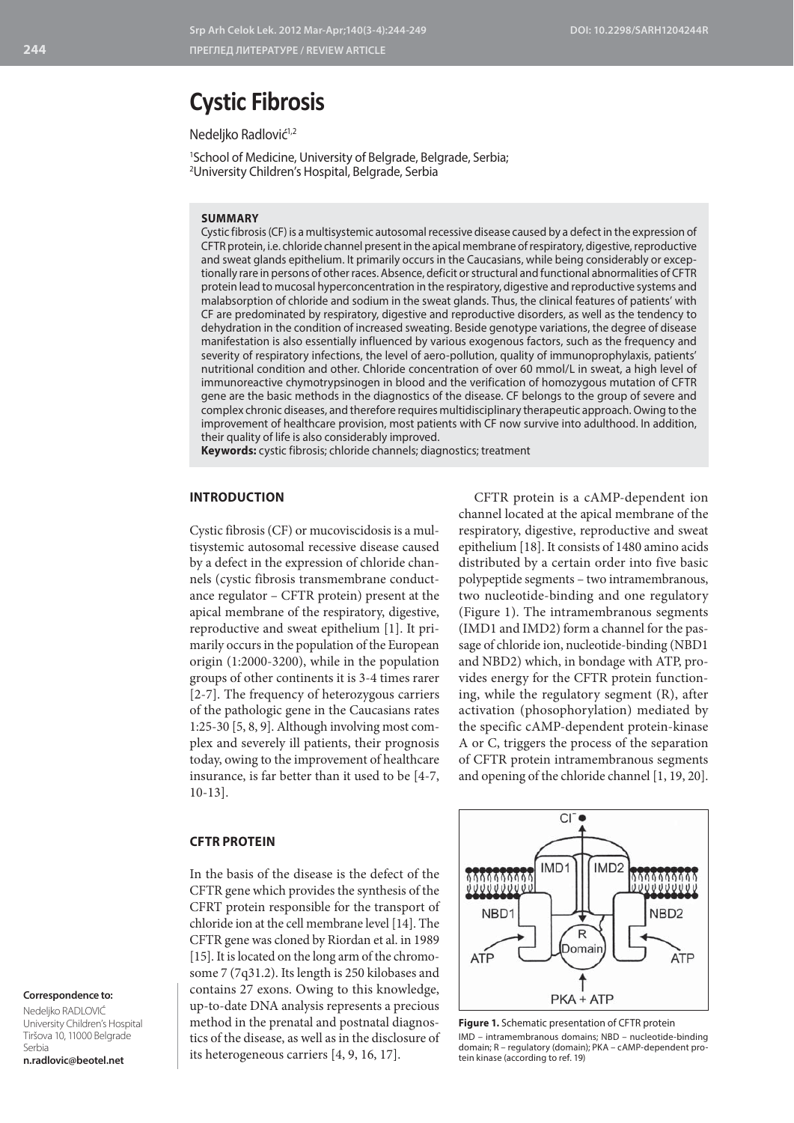# **Cystic Fibrosis**

Nedeljko Radlović<sup>1,2</sup>

1 School of Medicine, University of Belgrade, Belgrade, Serbia; 2 University Children's Hospital, Belgrade, Serbia

#### **SUMMARY**

Cystic fibrosis (CF) is a multisystemic autosomal recessive disease caused by a defect in the expression of CFTR protein, i.e. chloride channel present in the apical membrane of respiratory, digestive, reproductive and sweat glands epithelium. It primarily occurs in the Caucasians, while being considerably or exceptionally rare in persons of other races. Absence, deficit or structural and functional abnormalities of CFTR protein lead to mucosal hyperconcentration in the respiratory, digestive and reproductive systems and malabsorption of chloride and sodium in the sweat glands. Thus, the clinical features of patients' with CF are predominated by respiratory, digestive and reproductive disorders, as well as the tendency to dehydration in the condition of increased sweating. Beside genotype variations, the degree of disease manifestation is also essentially influenced by various exogenous factors, such as the frequency and severity of respiratory infections, the level of aero-pollution, quality of immunoprophylaxis, patients' nutritional condition and other. Chloride concentration of over 60 mmol/L in sweat, a high level of immunoreactive chymotrypsinogen in blood and the verification of homozygous mutation of CFTR gene are the basic methods in the diagnostics of the disease. CF belongs to the group of severe and complex chronic diseases, and therefore requires multidisciplinary therapeutic approach. Owing to the improvement of healthcare provision, most patients with CF now survive into adulthood. In addition, their quality of life is also considerably improved.

**Keywords:** cystic fibrosis; chloride channels; diagnostics; treatment

## **INTRODUCTION**

Cystic fibrosis (CF) or mucoviscidosis is a multisystemic autosomal recessive disease caused by a defect in the expression of chloride channels (cystic fibrosis transmembrane conductance regulator – CFTR protein) present at the apical membrane of the respiratory, digestive, reproductive and sweat epithelium [1]. It primarily occurs in the population of the European origin (1:2000-3200), while in the population groups of other continents it is 3-4 times rarer [2-7]. The frequency of heterozygous carriers of the pathologic gene in the Caucasians rates 1:25-30 [5, 8, 9]. Although involving most complex and severely ill patients, their prognosis today, owing to the improvement of healthcare insurance, is far better than it used to be [4-7, 10-13].

CFTR protein is a cAMP-dependent ion channel located at the apical membrane of the respiratory, digestive, reproductive and sweat epithelium [18]. It consists of 1480 amino acids distributed by a certain order into five basic polypeptide segments – two intramembranous, two nucleotide-binding and one regulatory (Figure 1). The intramembranous segments (IMD1 and IMD2) form a channel for the passage of chloride ion, nucleotide-binding (NBD1 and NBD2) which, in bondage with ATP, provides energy for the CFTR protein functioning, while the regulatory segment (R), after activation (phosophorylation) mediated by the specific cAMP-dependent protein-kinase A or C, triggers the process of the separation of CFTR protein intramembranous segments and opening of the chloride channel [1, 19, 20].

#### **CFTR PROTEIN**

In the basis of the disease is the defect of the CFTR gene which provides the synthesis of the CFRT protein responsible for the transport of chloride ion at the cell membrane level [14]. The CFTR gene was cloned by Riordan et al. in 1989 [15]. It is located on the long arm of the chromosome 7 (7q31.2). Its length is 250 kilobases and contains 27 exons. Owing to this knowledge, up-to-date DNA analysis represents a precious method in the prenatal and postnatal diagnostics of the disease, as well as in the disclosure of its heterogeneous carriers [4, 9, 16, 17].



**Figure 1.** Schematic presentation of CFTR protein IMD – intramembranous domains; NBD – nucleotide-binding domain; R – regulatory (domain); PKA – cAMP-dependent protein kinase (according to ref. 19)

# **Correspondence to:**

Nedeljko RADLOVIĆ University Children's Hospital Tiršova 10, 11000 Belgrade Serbia **n.radlovic@beotel.net**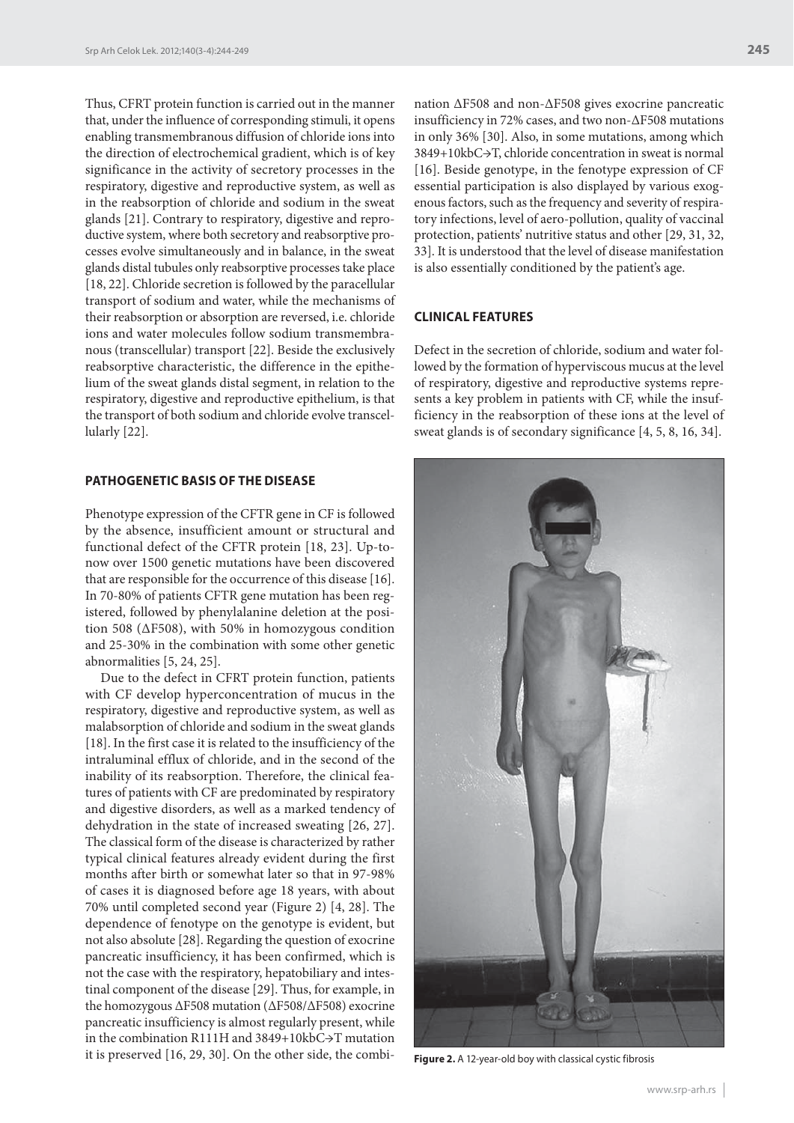Thus, CFRT protein function is carried out in the manner that, under the influence of corresponding stimuli, it opens enabling transmembranous diffusion of chloride ions into the direction of electrochemical gradient, which is of key significance in the activity of secretory processes in the respiratory, digestive and reproductive system, as well as in the reabsorption of chloride and sodium in the sweat glands [21]. Contrary to respiratory, digestive and reproductive system, where both secretory and reabsorptive processes evolve simultaneously and in balance, in the sweat glands distal tubules only reabsorptive processes take place [18, 22]. Chloride secretion is followed by the paracellular transport of sodium and water, while the mechanisms of their reabsorption or absorption are reversed, i.e. chloride ions and water molecules follow sodium transmembranous (transcellular) transport [22]. Beside the exclusively reabsorptive characteristic, the difference in the epithelium of the sweat glands distal segment, in relation to the respiratory, digestive and reproductive epithelium, is that the transport of both sodium and chloride evolve transcellularly [22].

# **PATHOGENETIC BASIS OF THE DISEASE**

Phenotype expression of the CFTR gene in CF is followed by the absence, insufficient amount or structural and functional defect of the CFTR protein [18, 23]. Up-tonow over 1500 genetic mutations have been discovered that are responsible for the occurrence of this disease [16]. In 70-80% of patients CFTR gene mutation has been registered, followed by phenylalanine deletion at the position 508 (ΔF508), with 50% in homozygous condition and 25-30% in the combination with some other genetic abnormalities [5, 24, 25].

Due to the defect in CFRT protein function, patients with CF develop hyperconcentration of mucus in the respiratory, digestive and reproductive system, as well as malabsorption of chloride and sodium in the sweat glands [18]. In the first case it is related to the insufficiency of the intraluminal efflux of chloride, and in the second of the inability of its reabsorption. Therefore, the clinical features of patients with CF are predominated by respiratory and digestive disorders, as well as a marked tendency of dehydration in the state of increased sweating [26, 27]. The classical form of the disease is characterized by rather typical clinical features already evident during the first months after birth or somewhat later so that in 97-98% of cases it is diagnosed before age 18 years, with about 70% until completed second year (Figure 2) [4, 28]. The dependence of fenotype on the genotype is evident, but not also absolute [28]. Regarding the question of exocrine pancreatic insufficiency, it has been confirmed, which is not the case with the respiratory, hepatobiliary and intestinal component of the disease [29]. Thus, for example, in the homozygous ΔF508 mutation (ΔF508/ΔF508) exocrine pancreatic insufficiency is almost regularly present, while in the combination R111H and 3849+10kbC→T mutation it is preserved [16, 29, 30]. On the other side, the combi-

nation ΔF508 and non-ΔF508 gives exocrine pancreatic insufficiency in 72% cases, and two non-ΔF508 mutations in only 36% [30]. Also, in some mutations, among which 3849+10kbC→T, chloride concentration in sweat is normal [16]. Beside genotype, in the fenotype expression of CF essential participation is also displayed by various exogenous factors, such as the frequency and severity of respiratory infections, level of aero-pollution, quality of vaccinal protection, patients' nutritive status and other [29, 31, 32, 33]. It is understood that the level of disease manifestation

## **CLINICAL FEATURES**

Defect in the secretion of chloride, sodium and water followed by the formation of hyperviscous mucus at the level of respiratory, digestive and reproductive systems represents a key problem in patients with CF, while the insufficiency in the reabsorption of these ions at the level of sweat glands is of secondary significance [4, 5, 8, 16, 34].

is also essentially conditioned by the patient's age.



**Figure 2.** A 12-year-old boy with classical cystic fibrosis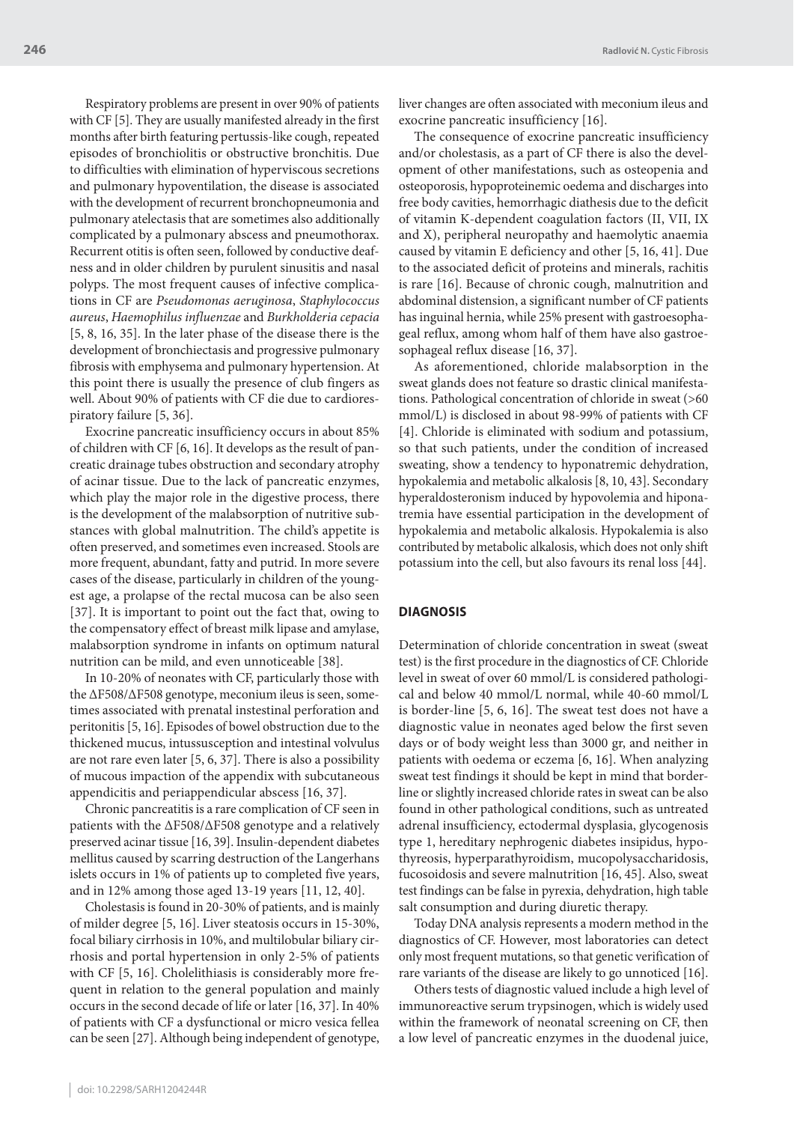Respiratory problems are present in over 90% of patients with CF [5]. They are usually manifested already in the first months after birth featuring pertussis-like cough, repeated episodes of bronchiolitis or obstructive bronchitis. Due to difficulties with elimination of hyperviscous secretions and pulmonary hypoventilation, the disease is associated with the development of recurrent bronchopneumonia and pulmonary atelectasis that are sometimes also additionally complicated by a pulmonary abscess and pneumothorax. Recurrent otitis is often seen, followed by conductive deafness and in older children by purulent sinusitis and nasal polyps. The most frequent causes of infective complications in CF are *Pseudomonas aeruginosa*, *Staphylococcus aureus*, *Haemophilus influenzae* and *Burkholderia cepacia* [5, 8, 16, 35]. In the later phase of the disease there is the development of bronchiectasis and progressive pulmonary fibrosis with emphysema and pulmonary hypertension. At this point there is usually the presence of club fingers as well. About 90% of patients with CF die due to cardiorespiratory failure [5, 36].

Exocrine pancreatic insufficiency occurs in about 85% of children with CF [6, 16]. It develops as the result of pancreatic drainage tubes obstruction and secondary atrophy of acinar tissue. Due to the lack of pancreatic enzymes, which play the major role in the digestive process, there is the development of the malabsorption of nutritive substances with global malnutrition. The child's appetite is often preserved, and sometimes even increased. Stools are more frequent, abundant, fatty and putrid. In more severe cases of the disease, particularly in children of the youngest age, a prolapse of the rectal mucosa can be also seen [37]. It is important to point out the fact that, owing to the compensatory effect of breast milk lipase and amylase, malabsorption syndrome in infants on optimum natural nutrition can be mild, and even unnoticeable [38].

In 10-20% of neonates with CF, particularly those with the ΔF508/ΔF508 genotype, meconium ileus is seen, sometimes associated with prenatal instestinal perforation and peritonitis [5, 16]. Episodes of bowel obstruction due to the thickened mucus, intussusception and intestinal volvulus are not rare even later [5, 6, 37]. There is also a possibility of mucous impaction of the appendix with subcutaneous appendicitis and periappendicular abscess [16, 37].

Chronic pancreatitis is a rare complication of CF seen in patients with the ΔF508/ΔF508 genotype and a relatively preserved acinar tissue [16, 39]. Insulin-dependent diabetes mellitus caused by scarring destruction of the Langerhans islets occurs in 1% of patients up to completed five years, and in 12% among those aged 13-19 years [11, 12, 40].

Cholestasis is found in 20-30% of patients, and is mainly of milder degree [5, 16]. Liver steatosis occurs in 15-30%, focal biliary cirrhosis in 10%, and multilobular biliary cirrhosis and portal hypertension in only 2-5% of patients with CF [5, 16]. Cholelithiasis is considerably more frequent in relation to the general population and mainly occurs in the second decade of life or later [16, 37]. In 40% of patients with CF a dysfunctional or micro vesica fellea can be seen [27]. Although being independent of genotype, liver changes are often associated with meconium ileus and exocrine pancreatic insufficiency [16].

The consequence of exocrine pancreatic insufficiency and/or cholestasis, as a part of CF there is also the development of other manifestations, such as osteopenia and osteoporosis, hypoproteinemic oedema and discharges into free body cavities, hemorrhagic diathesis due to the deficit of vitamin K-dependent coagulation factors (II, VII, IX and X), peripheral neuropathy and haemolytic anaemia caused by vitamin E deficiency and other [5, 16, 41]. Due to the associated deficit of proteins and minerals, rachitis is rare [16]. Because of chronic cough, malnutrition and abdominal distension, a significant number of CF patients has inguinal hernia, while 25% present with gastroesophageal reflux, among whom half of them have also gastroesophageal reflux disease [16, 37].

As aforementioned, chloride malabsorption in the sweat glands does not feature so drastic clinical manifestations. Pathological concentration of chloride in sweat (>60 mmol/L) is disclosed in about 98-99% of patients with CF [4]. Chloride is eliminated with sodium and potassium, so that such patients, under the condition of increased sweating, show a tendency to hyponatremic dehydration, hypokalemia and metabolic alkalosis [8, 10, 43]. Secondary hyperaldosteronism induced by hypovolemia and hiponatremia have essential participation in the development of hypokalemia and metabolic alkalosis. Hypokalemia is also contributed by metabolic alkalosis, which does not only shift potassium into the cell, but also favours its renal loss [44].

#### **DIAGNOSIS**

Determination of chloride concentration in sweat (sweat test) is the first procedure in the diagnostics of CF. Chloride level in sweat of over 60 mmol/L is considered pathological and below 40 mmol/L normal, while 40-60 mmol/L is border-line [5, 6, 16]. The sweat test does not have a diagnostic value in neonates aged below the first seven days or of body weight less than 3000 gr, and neither in patients with oedema or eczema [6, 16]. When analyzing sweat test findings it should be kept in mind that borderline or slightly increased chloride rates in sweat can be also found in other pathological conditions, such as untreated adrenal insufficiency, ectodermal dysplasia, glycogenosis type 1, hereditary nephrogenic diabetes insipidus, hypothyreosis, hyperparathyroidism, mucopolysaccharidosis, fucosoidosis and severe malnutrition [16, 45]. Also, sweat test findings can be false in pyrexia, dehydration, high table salt consumption and during diuretic therapy.

Today DNA analysis represents a modern method in the diagnostics of CF. However, most laboratories can detect only most frequent mutations, so that genetic verification of rare variants of the disease are likely to go unnoticed [16].

Others tests of diagnostic valued include a high level of immunoreactive serum trypsinogen, which is widely used within the framework of neonatal screening on CF, then a low level of pancreatic enzymes in the duodenal juice,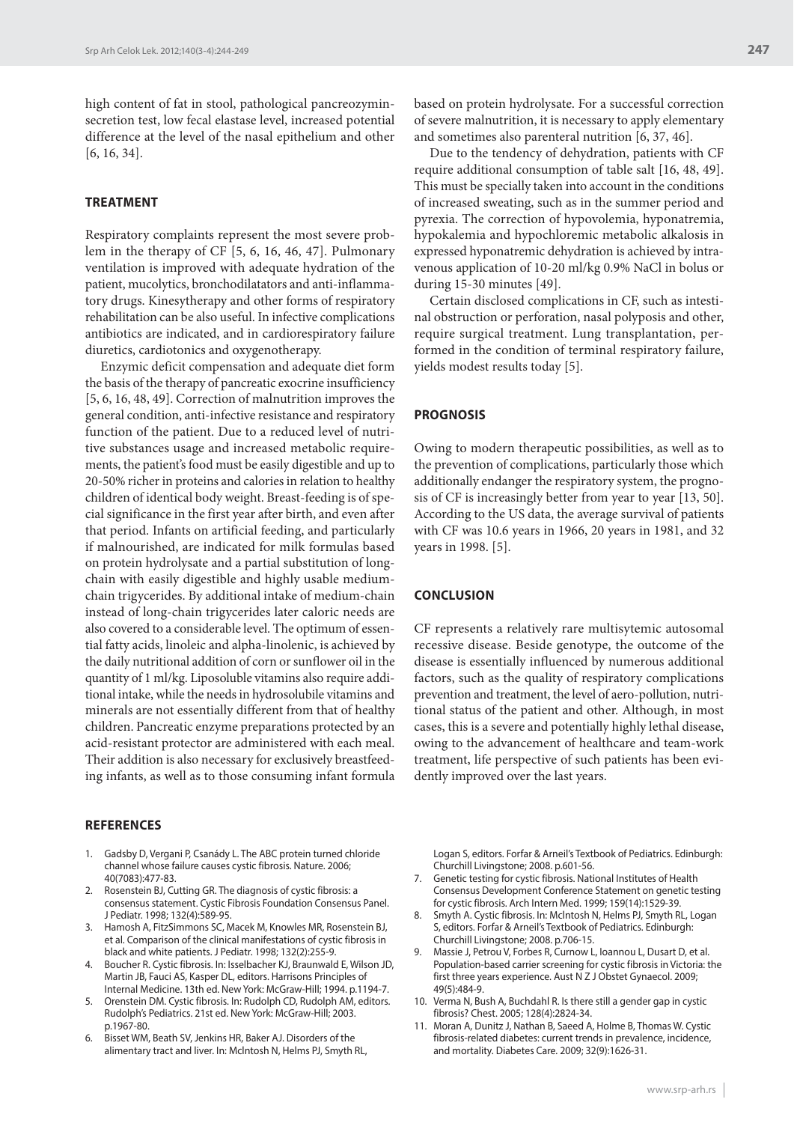high content of fat in stool, pathological pancreozyminsecretion test, low fecal elastase level, increased potential difference at the level of the nasal epithelium and other [6, 16, 34].

# **TREATMENT**

Respiratory complaints represent the most severe problem in the therapy of CF [5, 6, 16, 46, 47]. Pulmonary ventilation is improved with adequate hydration of the patient, mucolytics, bronchodilatators and anti-inflammatory drugs. Kinesytherapy and other forms of respiratory rehabilitation can be also useful. In infective complications antibiotics are indicated, and in cardiorespiratory failure diuretics, cardiotonics and oxygenotherapy.

Enzymic deficit compensation and adequate diet form the basis of the therapy of pancreatic exocrine insufficiency [5, 6, 16, 48, 49]. Correction of malnutrition improves the general condition, anti-infective resistance and respiratory function of the patient. Due to a reduced level of nutritive substances usage and increased metabolic requirements, the patient's food must be easily digestible and up to 20-50% richer in proteins and calories in relation to healthy children of identical body weight. Breast-feeding is of special significance in the first year after birth, and even after that period. Infants on artificial feeding, and particularly if malnourished, are indicated for milk formulas based on protein hydrolysate and a partial substitution of longchain with easily digestible and highly usable mediumchain trigycerides. By additional intake of medium-chain instead of long-chain trigycerides later caloric needs are also covered to a considerable level. The optimum of essential fatty acids, linoleic and alpha-linolenic, is achieved by the daily nutritional addition of corn or sunflower oil in the quantity of 1 ml/kg. Liposoluble vitamins also require additional intake, while the needs in hydrosolubile vitamins and minerals are not essentially different from that of healthy children. Pancreatic enzyme preparations protected by an acid-resistant protector are administered with each meal. Their addition is also necessary for exclusively breastfeeding infants, as well as to those consuming infant formula

#### **REFERENCES**

- 1. Gadsby D, Vergani P, Csanády L. The ABC protein turned chloride channel whose failure causes cystic fibrosis. Nature. 2006; 40(7083):477-83.
- 2. Rosenstein BJ, Cutting GR. The diagnosis of cystic fibrosis: a consensus statement. Cystic Fibrosis Foundation Consensus Panel. J Pediatr. 1998; 132(4):589-95.
- 3. Hamosh A, FitzSimmons SC, Macek M, Knowles MR, Rosenstein BJ, et al. Comparison of the clinical manifestations of cystic fibrosis in black and white patients. J Pediatr. 1998; 132(2):255-9.
- 4. Boucher R. Cystic fibrosis. In: Isselbacher KJ, Braunwald E, Wilson JD, Martin JB, Fauci AS, Kasper DL, editors. Harrisons Principles of Internal Medicine. 13th ed. New York: McGraw-Hill; 1994. p.1194-7.
- 5. Orenstein DM. Cystic fibrosis. In: Rudolph CD, Rudolph AM, editors. Rudolph's Pediatrics. 21st ed. New York: McGraw-Hill; 2003. p.1967-80.
- 6. Bisset WM, Beath SV, Jenkins HR, Baker AJ. Disorders of the alimentary tract and liver. In: Mclntosh N, Helms PJ, Smyth RL,

based on protein hydrolysate. For a successful correction of severe malnutrition, it is necessary to apply elementary and sometimes also parenteral nutrition [6, 37, 46].

Due to the tendency of dehydration, patients with CF require additional consumption of table salt [16, 48, 49]. This must be specially taken into account in the conditions of increased sweating, such as in the summer period and pyrexia. The correction of hypovolemia, hyponatremia, hypokalemia and hypochloremic metabolic alkalosis in expressed hyponatremic dehydration is achieved by intravenous application of 10-20 ml/kg 0.9% NaCl in bolus or during 15-30 minutes [49].

Certain disclosed complications in CF, such as intestinal obstruction or perforation, nasal polyposis and other, require surgical treatment. Lung transplantation, performed in the condition of terminal respiratory failure, yields modest results today [5].

#### **PROGNOSIS**

Owing to modern therapeutic possibilities, as well as to the prevention of complications, particularly those which additionally endanger the respiratory system, the prognosis of CF is increasingly better from year to year [13, 50]. According to the US data, the average survival of patients with CF was 10.6 years in 1966, 20 years in 1981, and 32 years in 1998. [5].

#### **CONCLUSION**

CF represents a relatively rare multisytemic autosomal recessive disease. Beside genotype, the outcome of the disease is essentially influenced by numerous additional factors, such as the quality of respiratory complications prevention and treatment, the level of aero-pollution, nutritional status of the patient and other. Although, in most cases, this is a severe and potentially highly lethal disease, owing to the advancement of healthcare and team-work treatment, life perspective of such patients has been evidently improved over the last years.

Logan S, editors. Forfar & Arneil's Textbook of Pediatrics. Edinburgh: Churchill Livingstone; 2008. p.601-56.

- 7. Genetic testing for cystic fibrosis. National Institutes of Health Consensus Development Conference Statement on genetic testing for cystic fibrosis. Arch Intern Med. 1999; 159(14):1529-39.
- 8. Smyth A. Cystic fibrosis. In: Mclntosh N, Helms PJ, Smyth RL, Logan S, editors. Forfar & Arneil's Textbook of Pediatrics. Edinburgh: Churchill Livingstone; 2008. p.706-15.
- 9. Massie J, Petrou V, Forbes R, Curnow L, Ioannou L, Dusart D, et al. Population-based carrier screening for cystic fibrosis in Victoria: the first three years experience. Aust N Z J Obstet Gynaecol. 2009; 49(5):484-9.
- 10. Verma N, Bush A, Buchdahl R. Is there still a gender gap in cystic fibrosis? Chest. 2005; 128(4):2824-34.
- 11. Moran A, Dunitz J, Nathan B, Saeed A, Holme B, Thomas W. Cystic fibrosis-related diabetes: current trends in prevalence, incidence, and mortality. Diabetes Care. 2009; 32(9):1626-31.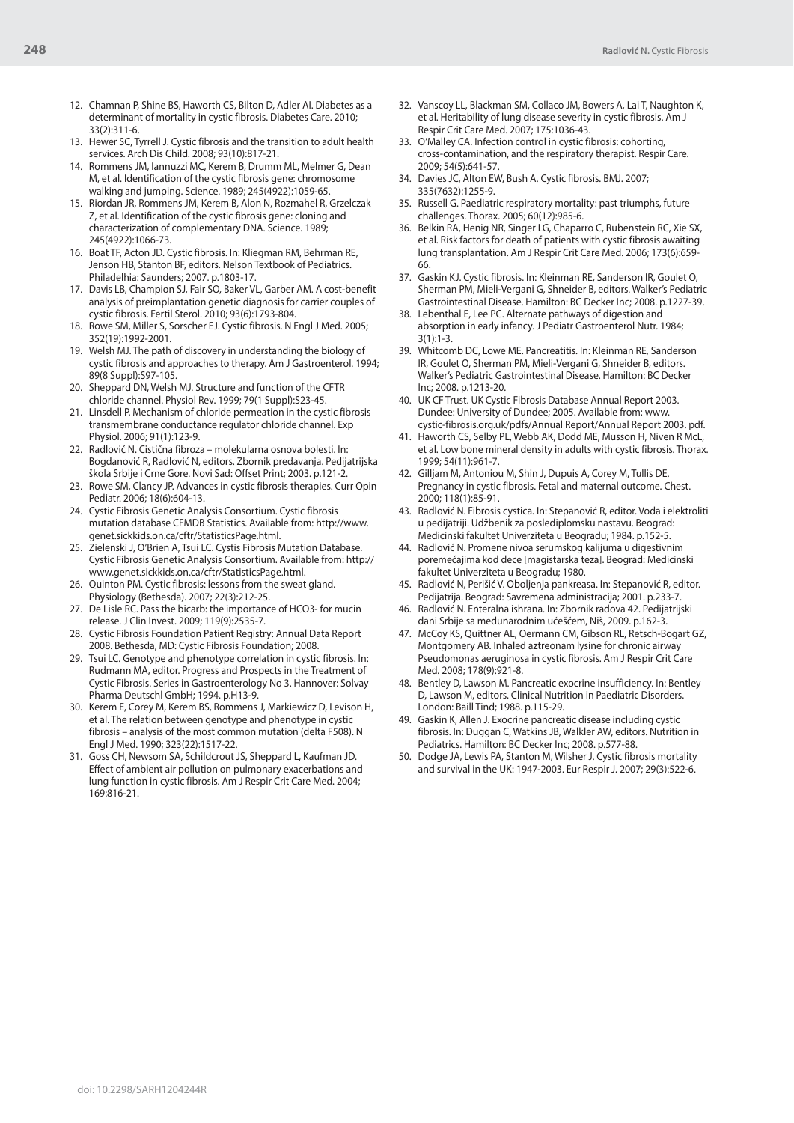- 12. Chamnan P, Shine BS, Haworth CS, Bilton D, Adler AI. Diabetes as a determinant of mortality in cystic fibrosis. Diabetes Care. 2010; 33(2):311-6.
- 13. Hewer SC, Tyrrell J. Cystic fibrosis and the transition to adult health services. Arch Dis Child. 2008; 93(10):817-21.
- 14. Rommens JM, Iannuzzi MC, Kerem B, Drumm ML, Melmer G, Dean M, et al. Identification of the cystic fibrosis gene: chromosome walking and jumping. Science. 1989; 245(4922):1059-65.
- 15. Riordan JR, Rommens JM, Kerem B, Alon N, Rozmahel R, Grzelczak Z, et al. Identification of the cystic fibrosis gene: cloning and characterization of complementary DNA. Science. 1989; 245(4922):1066-73.
- 16. Boat TF, Acton JD. Cystic fibrosis. In: Kliegman RM, Behrman RE, Jenson HB, Stanton BF, editors. Nelson Textbook of Pediatrics. Philadelhia: Saunders; 2007. p.1803-17.
- 17. Davis LB, Champion SJ, Fair SO, Baker VL, Garber AM. A cost-benefit analysis of preimplantation genetic diagnosis for carrier couples of cystic fibrosis. Fertil Sterol. 2010; 93(6):1793-804.
- 18. Rowe SM, Miller S, Sorscher EJ. Cystic fibrosis. N Engl J Med. 2005; 352(19):1992-2001.
- 19. Welsh MJ. The path of discovery in understanding the biology of cystic fibrosis and approaches to therapy. Am J Gastroenterol. 1994; 89(8 Suppl):S97-105.
- 20. Sheppard DN, Welsh MJ. Structure and function of the CFTR chloride channel. Physiol Rev. 1999; 79(1 Suppl):S23-45.
- 21. Linsdell P. Mechanism of chloride permeation in the cystic fibrosis transmembrane conductance regulator chloride channel. Exp Physiol. 2006; 91(1):123-9.
- 22. Radlović N. Cistična fibroza molekularna osnova bolesti. In: Bogdanović R, Radlović N, editors. Zbornik predavanja. Pedijatrijska škola Srbije i Crne Gore. Novi Sad: Offset Print; 2003. p.121-2.
- 23. Rowe SM, Clancy JP. Advances in cystic fibrosis therapies. Curr Opin Pediatr. 2006; 18(6):604-13.
- 24. Cystic Fibrosis Genetic Analysis Consortium. Cystic fibrosis mutation database CFMDB Statistics. Available from: http://www. genet.sickkids.on.ca/cftr/StatisticsPage.html.
- 25. Zielenski J, O'Brien A, Tsui LC. Cystis Fibrosis Mutation Database. Cystic Fibrosis Genetic Analysis Consortium. Available from: http:// www.genet.sickkids.on.ca/cftr/StatisticsPage.html.
- 26. Quinton PM. Cystic fibrosis: lessons from the sweat gland. Physiology (Bethesda). 2007; 22(3):212-25.
- 27. De Lisle RC. Pass the bicarb: the importance of HCO3- for mucin release. J Clin Invest. 2009; 119(9):2535-7.
- 28. Cystic Fibrosis Foundation Patient Registry: Annual Data Report 2008. Bethesda, MD: Cystic Fibrosis Foundation; 2008.
- 29. Tsui LC. Genotype and phenotype correlation in cystic fibrosis. In: Rudmann MA, editor. Progress and Prospects in the Treatment of Cystic Fibrosis. Series in Gastroenterology No 3. Hannover: Solvay Pharma Deutschl GmbH; 1994. p.H13-9.
- 30. Kerem E, Corey M, Kerem BS, Rommens J, Markiewicz D, Levison H, et al. The relation between genotype and phenotype in cystic fibrosis – analysis of the most common mutation (delta F508). N Engl J Med. 1990; 323(22):1517-22.
- 31. Goss CH, Newsom SA, Schildcrout JS, Sheppard L, Kaufman JD. Effect of ambient air pollution on pulmonary exacerbations and lung function in cystic fibrosis. Am J Respir Crit Care Med. 2004; 169:816-21.
- 32. Vanscoy LL, Blackman SM, Collaco JM, Bowers A, Lai T, Naughton K, et al. Heritability of lung disease severity in cystic fibrosis. Am J Respir Crit Care Med. 2007; 175:1036-43.
- 33. O'Malley CA. Infection control in cystic fibrosis: cohorting, cross-contamination, and the respiratory therapist. Respir Care. 2009; 54(5):641-57.
- 34. Davies JC, Alton EW, Bush A. Cystic fibrosis. BMJ. 2007; 335(7632):1255-9.
- 35. Russell G. Paediatric respiratory mortality: past triumphs, future challenges. Thorax. 2005; 60(12):985-6.
- 36. Belkin RA, Henig NR, Singer LG, Chaparro C, Rubenstein RC, Xie SX, et al. Risk factors for death of patients with cystic fibrosis awaiting lung transplantation. Am J Respir Crit Care Med. 2006; 173(6):659- 66.
- 37. Gaskin KJ. Cystic fibrosis. In: Kleinman RE, Sanderson IR, Goulet O, Sherman PM, Mieli-Vergani G, Shneider B, editors. Walker's Pediatric Gastrointestinal Disease. Hamilton: BC Decker Inc; 2008. p.1227-39.
- Lebenthal E, Lee PC. Alternate pathways of digestion and absorption in early infancy. J Pediatr Gastroenterol Nutr. 1984;  $3(1) \cdot 1 - 3$
- 39. Whitcomb DC, Lowe ME. Pancreatitis. In: Kleinman RE, Sanderson IR, Goulet O, Sherman PM, Mieli-Vergani G, Shneider B, editors. Walker's Pediatric Gastrointestinal Disease. Hamilton: BC Decker Inc; 2008. p.1213-20.
- 40. UK CF Trust. UK Cystic Fibrosis Database Annual Report 2003. Dundee: University of Dundee; 2005. Available from: www. cystic-fibrosis.org.uk/pdfs/Annual Report/Annual Report 2003. pdf.
- 41. Haworth CS, Selby PL, Webb AK, Dodd ME, Musson H, Niven R McL, et al. Low bone mineral density in adults with cystic fibrosis. Thorax. 1999; 54(11):961-7.
- 42. Gilljam M, Antoniou M, Shin J, Dupuis A, Corey M, Tullis DE. Pregnancy in cystic fibrosis. Fetal and maternal outcome. Chest. 2000; 118(1):85-91.
- 43. Radlović N. Fibrosis cystica. In: Stepanović R, editor. Voda i elektroliti u pedijatriji. Udžbenik za poslediplomsku nastavu. Beograd: Medicinski fakultet Univerziteta u Beogradu; 1984. p.152-5.
- 44. Radlović N. Promene nivoa serumskog kalijuma u digestivnim poremećajima kod dece [magistarska teza]. Beograd: Medicinski fakultet Univerziteta u Beogradu; 1980.
- 45. Radlović N, Perišić V. Oboljenja pankreasa. In: Stepanović R, editor. Pedijatrija. Beograd: Savremena administracija; 2001. p.233-7.
- 46. Radlović N. Enteralna ishrana. In: Zbornik radova 42. Pedijatrijski dani Srbije sa međunarodnim učešćem, Niš, 2009. p.162-3.
- 47. McCoy KS, Quittner AL, Oermann CM, Gibson RL, Retsch-Bogart GZ, Montgomery AB. Inhaled aztreonam lysine for chronic airway Pseudomonas aeruginosa in cystic fibrosis. Am J Respir Crit Care Med. 2008; 178(9):921-8.
- 48. Bentley D, Lawson M. Pancreatic exocrine insufficiency. In: Bentley D, Lawson M, editors. Clinical Nutrition in Paediatric Disorders. London: Baill Tind; 1988. p.115-29.
- 49. Gaskin K, Allen J. Exocrine pancreatic disease including cystic fibrosis. In: Duggan C, Watkins JB, Walkler AW, editors. Nutrition in Pediatrics. Hamilton: BC Decker Inc; 2008. p.577-88.
- 50. Dodge JA, Lewis PA, Stanton M, Wilsher J. Cystic fibrosis mortality and survival in the UK: 1947-2003. Eur Respir J. 2007; 29(3):522-6.